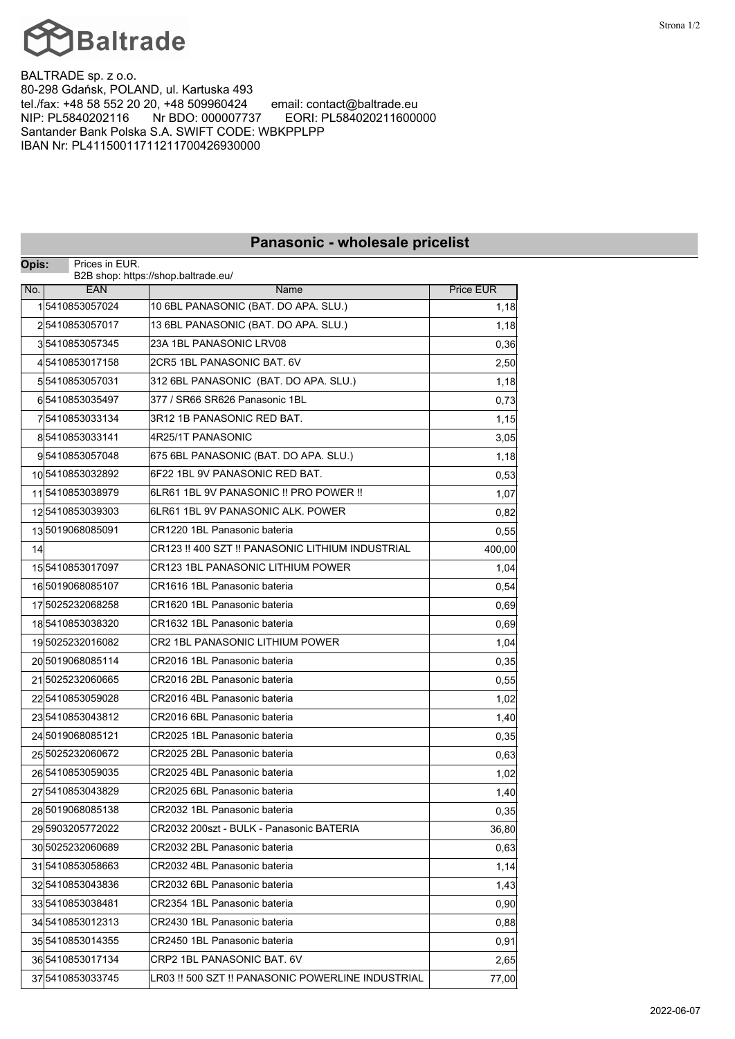

BALTRADE sp. z o.o. 80-298 Gdańsk, POLAND, ul. Kartuska 493<br>tel./fax: +48 58 552 20 20, +48 509960424 email: contact@baltrade.eu tel./fax: +48 58 552 20 20, +48 509960424<br>NIP: PL5840202116 Nr BDO: 000007737 NIP: PL5840202116 Nr BDO: 000007737 EORI: PL584020211600000 Santander Bank Polska S.A. SWIFT CODE: WBKPPLPP IBAN Nr: PL41150011711211700426930000

**Panasonic - wholesale pricelist**

|     |                                                                | <b>Panasonic - wholesale pricellst</b>            |                  |  |
|-----|----------------------------------------------------------------|---------------------------------------------------|------------------|--|
|     | Opis:<br>Prices in EUR.<br>B2B shop: https://shop.baltrade.eu/ |                                                   |                  |  |
| No. | <b>EAN</b>                                                     | Name                                              | <b>Price EUR</b> |  |
|     | 15410853057024                                                 | 10 6BL PANASONIC (BAT. DO APA. SLU.)              | 1,18             |  |
|     | 25410853057017                                                 | 13 6BL PANASONIC (BAT. DO APA. SLU.)              | 1,18             |  |
|     | 35410853057345                                                 | 23A 1BL PANASONIC LRV08                           | 0,36             |  |
|     | 45410853017158                                                 | 2CR5 1BL PANASONIC BAT. 6V                        | 2,50             |  |
|     | 55410853057031                                                 | 312 6BL PANASONIC (BAT. DO APA. SLU.)             | 1,18             |  |
|     | 65410853035497                                                 | 377 / SR66 SR626 Panasonic 1BL                    | 0,73             |  |
|     | 75410853033134                                                 | 3R12 1B PANASONIC RED BAT.                        | 1,15             |  |
|     | 85410853033141                                                 | 4R25/1T PANASONIC                                 | 3,05             |  |
|     | 95410853057048                                                 | 675 6BL PANASONIC (BAT. DO APA. SLU.)             | 1,18             |  |
|     | 105410853032892                                                | 6F22 1BL 9V PANASONIC RED BAT.                    | 0,53             |  |
|     | 115410853038979                                                | 6LR61 1BL 9V PANASONIC !! PRO POWER !!            | 1,07             |  |
|     | 125410853039303                                                | 6LR61 1BL 9V PANASONIC ALK. POWER                 | 0,82             |  |
|     | 135019068085091                                                | CR1220 1BL Panasonic bateria                      | 0,55             |  |
| 14  |                                                                | CR123 !! 400 SZT !! PANASONIC LITHIUM INDUSTRIAL  | 400,00           |  |
|     | 155410853017097                                                | CR123 1BL PANASONIC LITHIUM POWER                 | 1,04             |  |
|     | 165019068085107                                                | CR1616 1BL Panasonic bateria                      | 0,54             |  |
|     | 17 5025232068258                                               | CR1620 1BL Panasonic bateria                      | 0,69             |  |
|     | 185410853038320                                                | CR1632 1BL Panasonic bateria                      | 0,69             |  |
|     | 195025232016082                                                | CR2 1BL PANASONIC LITHIUM POWER                   | 1,04             |  |
|     | 205019068085114                                                | CR2016 1BL Panasonic bateria                      | 0,35             |  |
|     | 215025232060665                                                | CR2016 2BL Panasonic bateria                      | 0,55             |  |
|     | 225410853059028                                                | CR2016 4BL Panasonic bateria                      | 1,02             |  |
|     | 235410853043812                                                | CR2016 6BL Panasonic bateria                      | 1,40             |  |
|     | 245019068085121                                                | CR2025 1BL Panasonic bateria                      | 0,35             |  |
|     | 25 5025232060672                                               | CR2025 2BL Panasonic bateria                      | 0,63             |  |
|     | 265410853059035                                                | CR2025 4BL Panasonic bateria                      | 1,02             |  |
|     | 27 5410853043829                                               | CR2025 6BL Panasonic bateria                      | 1,40             |  |
|     | 285019068085138                                                | CR2032 1BL Panasonic bateria                      | 0,35             |  |
|     | 295903205772022                                                | CR2032 200szt - BULK - Panasonic BATERIA          | 36,80            |  |
|     | 30 5025232060689                                               | CR2032 2BL Panasonic bateria                      | 0,63             |  |
|     | 315410853058663                                                | CR2032 4BL Panasonic bateria                      | 1,14             |  |
|     | 325410853043836                                                | CR2032 6BL Panasonic bateria                      | 1,43             |  |
|     | 335410853038481                                                | CR2354 1BL Panasonic bateria                      | 0,90             |  |
|     | 345410853012313                                                | CR2430 1BL Panasonic bateria                      | 0,88             |  |
|     | 35 5410853014355                                               | CR2450 1BL Panasonic bateria                      | 0,91             |  |
|     | 365410853017134                                                | CRP2 1BL PANASONIC BAT. 6V                        | 2,65             |  |
|     | 37 5410853033745                                               | LR03 !! 500 SZT !! PANASONIC POWERLINE INDUSTRIAL | 77,00            |  |

## Strona 1/2